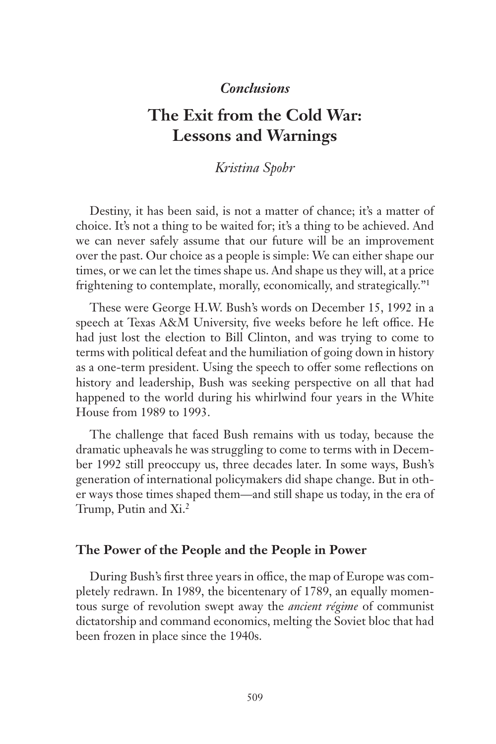## *Conclusions*

# **The Exit from the Cold War: Lessons and Warnings**

# *Kristina Spohr*

Destiny, it has been said, is not a matter of chance; it's a matter of choice. It's not a thing to be waited for; it's a thing to be achieved. And we can never safely assume that our future will be an improvement over the past. Our choice as a people is simple: We can either shape our times, or we can let the times shape us. And shape us they will, at a price frightening to contemplate, morally, economically, and strategically."1

These were George H.W. Bush's words on December 15, 1992 in a speech at Texas A&M University, five weeks before he left office. He had just lost the election to Bill Clinton, and was trying to come to terms with political defeat and the humiliation of going down in history as a one-term president. Using the speech to offer some reflections on history and leadership, Bush was seeking perspective on all that had happened to the world during his whirlwind four years in the White House from 1989 to 1993.

The challenge that faced Bush remains with us today, because the dramatic upheavals he was struggling to come to terms with in December 1992 still preoccupy us, three decades later. In some ways, Bush's generation of international policymakers did shape change. But in other ways those times shaped them—and still shape us today, in the era of Trump, Putin and Xi.2

#### **The Power of the People and the People in Power**

During Bush's first three years in office, the map of Europe was completely redrawn. In 1989, the bicentenary of 1789, an equally momentous surge of revolution swept away the *ancient régime* of communist dictatorship and command economics, melting the Soviet bloc that had been frozen in place since the 1940s.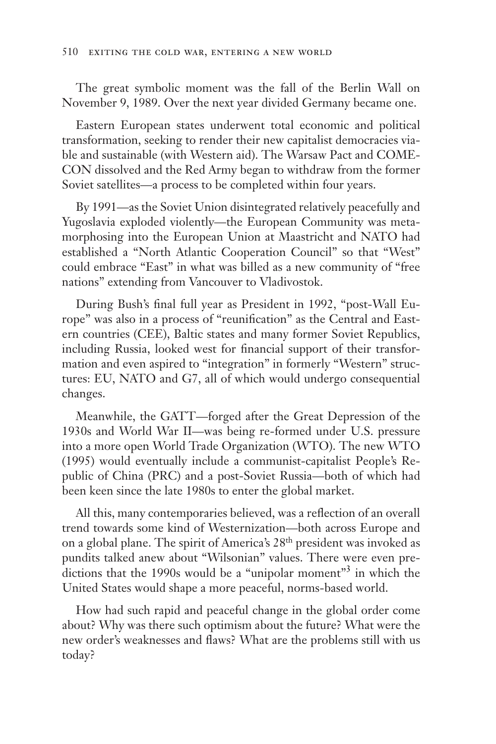The great symbolic moment was the fall of the Berlin Wall on November 9, 1989. Over the next year divided Germany became one.

Eastern European states underwent total economic and political transformation, seeking to render their new capitalist democracies viable and sustainable (with Western aid). The Warsaw Pact and COME-CON dissolved and the Red Army began to withdraw from the former Soviet satellites—a process to be completed within four years.

By 1991—as the Soviet Union disintegrated relatively peacefully and Yugoslavia exploded violently—the European Community was metamorphosing into the European Union at Maastricht and NATO had established a "North Atlantic Cooperation Council" so that "West" could embrace "East" in what was billed as a new community of "free nations" extending from Vancouver to Vladivostok.

During Bush's final full year as President in 1992, "post-Wall Europe" was also in a process of "reunification" as the Central and Eastern countries (CEE), Baltic states and many former Soviet Republics, including Russia, looked west for financial support of their transformation and even aspired to "integration" in formerly "Western" structures: EU, NATO and G7, all of which would undergo consequential changes.

Meanwhile, the GATT—forged after the Great Depression of the 1930s and World War II—was being re-formed under U.S. pressure into a more open World Trade Organization (WTO). The new WTO (1995) would eventually include a communist-capitalist People's Republic of China (PRC) and a post-Soviet Russia—both of which had been keen since the late 1980s to enter the global market.

All this, many contemporaries believed, was a reflection of an overall trend towards some kind of Westernization—both across Europe and on a global plane. The spirit of America's 28th president was invoked as pundits talked anew about "Wilsonian" values. There were even predictions that the 1990s would be a "unipolar moment"<sup>3</sup> in which the United States would shape a more peaceful, norms-based world.

How had such rapid and peaceful change in the global order come about? Why was there such optimism about the future? What were the new order's weaknesses and flaws? What are the problems still with us today?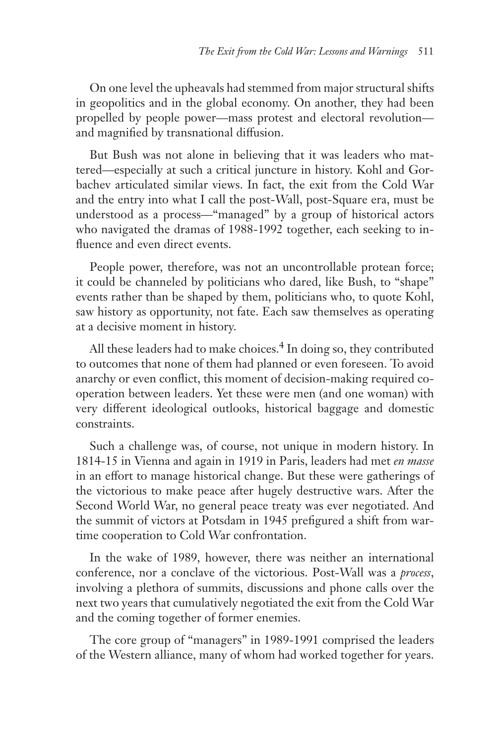On one level the upheavals had stemmed from major structural shifts in geopolitics and in the global economy. On another, they had been propelled by people power—mass protest and electoral revolution and magnified by transnational diffusion.

But Bush was not alone in believing that it was leaders who mattered—especially at such a critical juncture in history. Kohl and Gorbachev articulated similar views. In fact, the exit from the Cold War and the entry into what I call the post-Wall, post-Square era, must be understood as a process—"managed" by a group of historical actors who navigated the dramas of 1988-1992 together, each seeking to influence and even direct events.

People power, therefore, was not an uncontrollable protean force; it could be channeled by politicians who dared, like Bush, to "shape" events rather than be shaped by them, politicians who, to quote Kohl, saw history as opportunity, not fate. Each saw themselves as operating at a decisive moment in history.

All these leaders had to make choices. $4 \text{ In } \text{doing so, they contributed}$ to outcomes that none of them had planned or even foreseen. To avoid anarchy or even conflict, this moment of decision-making required cooperation between leaders. Yet these were men (and one woman) with very different ideological outlooks, historical baggage and domestic constraints.

Such a challenge was, of course, not unique in modern history. In 1814-15 in Vienna and again in 1919 in Paris, leaders had met *en masse*  in an effort to manage historical change. But these were gatherings of the victorious to make peace after hugely destructive wars. After the Second World War, no general peace treaty was ever negotiated. And the summit of victors at Potsdam in 1945 prefigured a shift from wartime cooperation to Cold War confrontation.

In the wake of 1989, however, there was neither an international conference, nor a conclave of the victorious. Post-Wall was a *process*, involving a plethora of summits, discussions and phone calls over the next two years that cumulatively negotiated the exit from the Cold War and the coming together of former enemies.

The core group of "managers" in 1989-1991 comprised the leaders of the Western alliance, many of whom had worked together for years.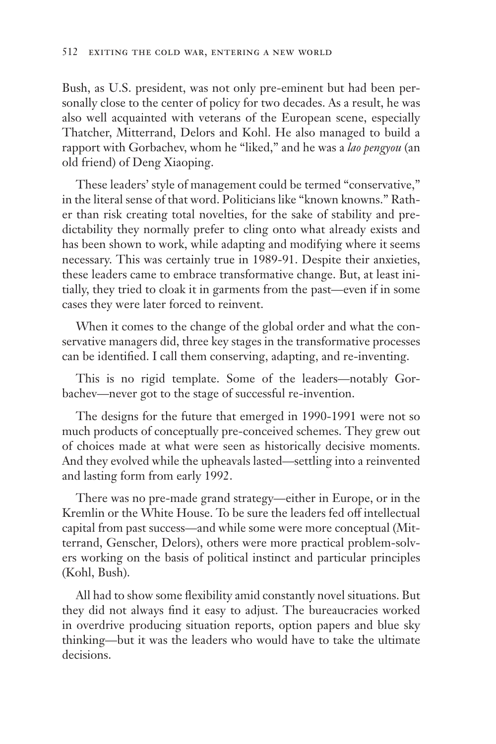Bush, as U.S. president, was not only pre-eminent but had been personally close to the center of policy for two decades. As a result, he was also well acquainted with veterans of the European scene, especially Thatcher, Mitterrand, Delors and Kohl. He also managed to build a rapport with Gorbachev, whom he "liked," and he was a *lao pengyou* (an old friend) of Deng Xiaoping.

These leaders' style of management could be termed "conservative," in the literal sense of that word. Politicians like "known knowns." Rather than risk creating total novelties, for the sake of stability and predictability they normally prefer to cling onto what already exists and has been shown to work, while adapting and modifying where it seems necessary. This was certainly true in 1989-91. Despite their anxieties, these leaders came to embrace transformative change. But, at least initially, they tried to cloak it in garments from the past—even if in some cases they were later forced to reinvent.

When it comes to the change of the global order and what the conservative managers did, three key stages in the transformative processes can be identified. I call them conserving, adapting, and re-inventing.

This is no rigid template. Some of the leaders—notably Gorbachev—never got to the stage of successful re-invention.

The designs for the future that emerged in 1990-1991 were not so much products of conceptually pre-conceived schemes. They grew out of choices made at what were seen as historically decisive moments. And they evolved while the upheavals lasted—settling into a reinvented and lasting form from early 1992.

There was no pre-made grand strategy—either in Europe, or in the Kremlin or the White House. To be sure the leaders fed off intellectual capital from past success—and while some were more conceptual (Mitterrand, Genscher, Delors), others were more practical problem-solvers working on the basis of political instinct and particular principles (Kohl, Bush).

All had to show some flexibility amid constantly novel situations. But they did not always find it easy to adjust. The bureaucracies worked in overdrive producing situation reports, option papers and blue sky thinking—but it was the leaders who would have to take the ultimate decisions.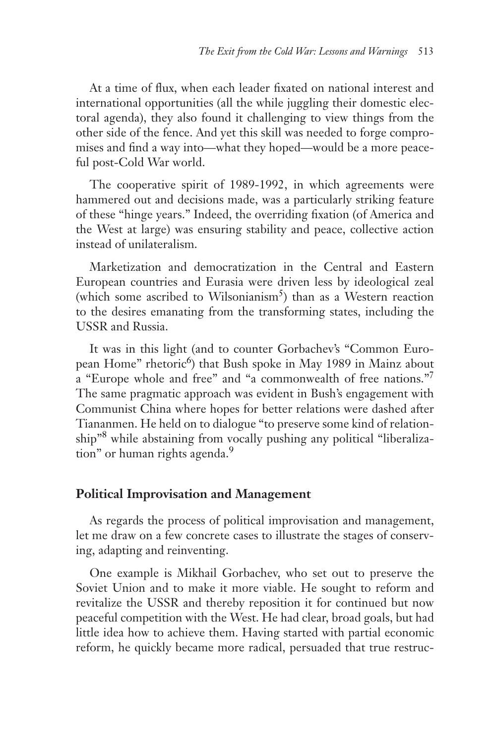At a time of flux, when each leader fixated on national interest and international opportunities (all the while juggling their domestic electoral agenda), they also found it challenging to view things from the other side of the fence. And yet this skill was needed to forge compromises and find a way into—what they hoped—would be a more peaceful post-Cold War world.

The cooperative spirit of 1989-1992, in which agreements were hammered out and decisions made, was a particularly striking feature of these "hinge years." Indeed, the overriding fixation (of America and the West at large) was ensuring stability and peace, collective action instead of unilateralism.

Marketization and democratization in the Central and Eastern European countries and Eurasia were driven less by ideological zeal (which some ascribed to Wilsonianism<sup>5</sup>) than as a Western reaction to the desires emanating from the transforming states, including the USSR and Russia.

It was in this light (and to counter Gorbachev's "Common European Home" rhetoric<sup>6</sup>) that Bush spoke in May 1989 in Mainz about a "Europe whole and free" and "a commonwealth of free nations."7 The same pragmatic approach was evident in Bush's engagement with Communist China where hopes for better relations were dashed after Tiananmen. He held on to dialogue "to preserve some kind of relationship"<sup>8</sup> while abstaining from vocally pushing any political "liberalization" or human rights agenda.<sup>9</sup>

#### **Political Improvisation and Management**

As regards the process of political improvisation and management, let me draw on a few concrete cases to illustrate the stages of conserving, adapting and reinventing.

One example is Mikhail Gorbachev, who set out to preserve the Soviet Union and to make it more viable. He sought to reform and revitalize the USSR and thereby reposition it for continued but now peaceful competition with the West. He had clear, broad goals, but had little idea how to achieve them. Having started with partial economic reform, he quickly became more radical, persuaded that true restruc-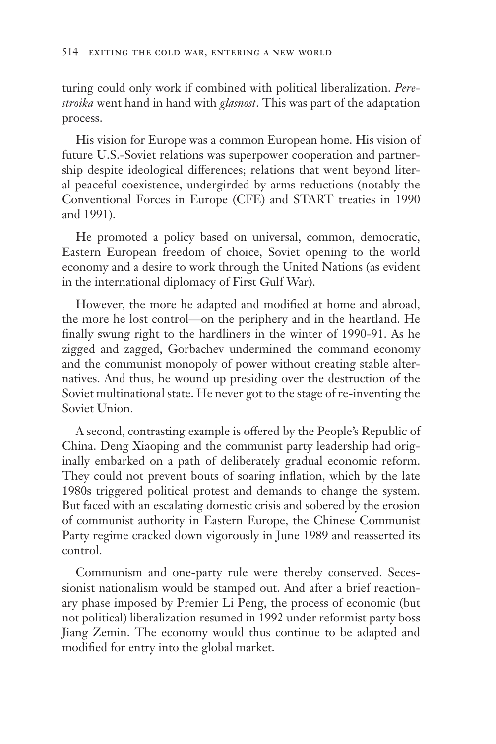turing could only work if combined with political liberalization. *Perestroika* went hand in hand with *glasnost*. This was part of the adaptation process.

His vision for Europe was a common European home. His vision of future U.S.-Soviet relations was superpower cooperation and partnership despite ideological differences; relations that went beyond literal peaceful coexistence, undergirded by arms reductions (notably the Conventional Forces in Europe (CFE) and START treaties in 1990 and 1991).

He promoted a policy based on universal, common, democratic, Eastern European freedom of choice, Soviet opening to the world economy and a desire to work through the United Nations (as evident in the international diplomacy of First Gulf War).

However, the more he adapted and modified at home and abroad, the more he lost control—on the periphery and in the heartland. He finally swung right to the hardliners in the winter of 1990-91. As he zigged and zagged, Gorbachev undermined the command economy and the communist monopoly of power without creating stable alternatives. And thus, he wound up presiding over the destruction of the Soviet multinational state. He never got to the stage of re-inventing the Soviet Union.

A second, contrasting example is offered by the People's Republic of China. Deng Xiaoping and the communist party leadership had originally embarked on a path of deliberately gradual economic reform. They could not prevent bouts of soaring inflation, which by the late 1980s triggered political protest and demands to change the system. But faced with an escalating domestic crisis and sobered by the erosion of communist authority in Eastern Europe, the Chinese Communist Party regime cracked down vigorously in June 1989 and reasserted its control.

Communism and one-party rule were thereby conserved. Secessionist nationalism would be stamped out. And after a brief reactionary phase imposed by Premier Li Peng, the process of economic (but not political) liberalization resumed in 1992 under reformist party boss Jiang Zemin. The economy would thus continue to be adapted and modified for entry into the global market.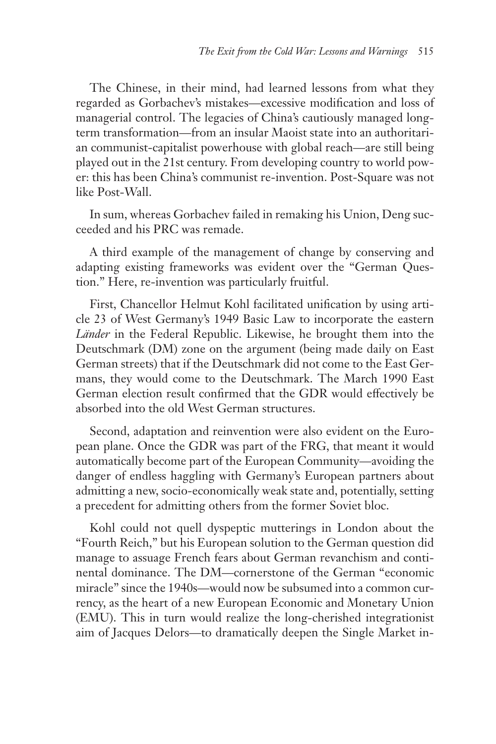The Chinese, in their mind, had learned lessons from what they regarded as Gorbachev's mistakes—excessive modification and loss of managerial control. The legacies of China's cautiously managed longterm transformation—from an insular Maoist state into an authoritarian communist-capitalist powerhouse with global reach—are still being played out in the 21st century. From developing country to world power: this has been China's communist re-invention. Post-Square was not like Post-Wall.

In sum, whereas Gorbachev failed in remaking his Union, Deng succeeded and his PRC was remade.

A third example of the management of change by conserving and adapting existing frameworks was evident over the "German Question." Here, re-invention was particularly fruitful.

First, Chancellor Helmut Kohl facilitated unification by using article 23 of West Germany's 1949 Basic Law to incorporate the eastern *Länder* in the Federal Republic. Likewise, he brought them into the Deutschmark (DM) zone on the argument (being made daily on East German streets) that if the Deutschmark did not come to the East Germans, they would come to the Deutschmark. The March 1990 East German election result confirmed that the GDR would effectively be absorbed into the old West German structures.

Second, adaptation and reinvention were also evident on the European plane. Once the GDR was part of the FRG, that meant it would automatically become part of the European Community—avoiding the danger of endless haggling with Germany's European partners about admitting a new, socio-economically weak state and, potentially, setting a precedent for admitting others from the former Soviet bloc.

Kohl could not quell dyspeptic mutterings in London about the "Fourth Reich," but his European solution to the German question did manage to assuage French fears about German revanchism and continental dominance. The DM—cornerstone of the German "economic miracle" since the 1940s—would now be subsumed into a common currency, as the heart of a new European Economic and Monetary Union (EMU). This in turn would realize the long-cherished integrationist aim of Jacques Delors—to dramatically deepen the Single Market in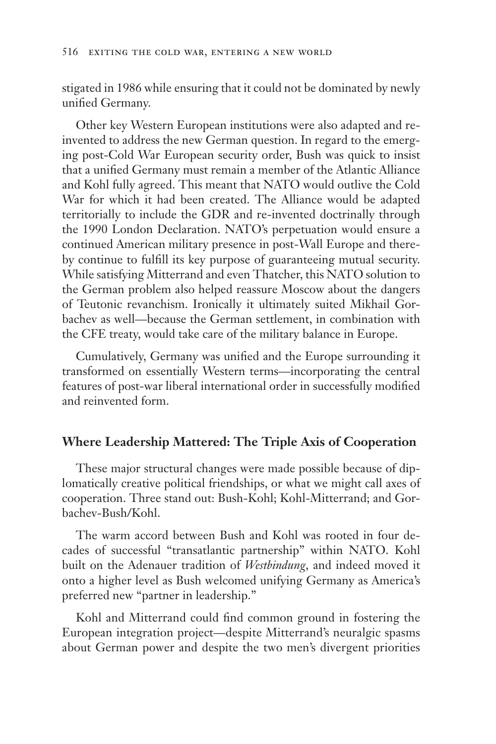stigated in 1986 while ensuring that it could not be dominated by newly unified Germany.

Other key Western European institutions were also adapted and reinvented to address the new German question. In regard to the emerging post-Cold War European security order, Bush was quick to insist that a unified Germany must remain a member of the Atlantic Alliance and Kohl fully agreed. This meant that NATO would outlive the Cold War for which it had been created. The Alliance would be adapted territorially to include the GDR and re-invented doctrinally through the 1990 London Declaration. NATO's perpetuation would ensure a continued American military presence in post-Wall Europe and thereby continue to fulfill its key purpose of guaranteeing mutual security. While satisfying Mitterrand and even Thatcher, this NATO solution to the German problem also helped reassure Moscow about the dangers of Teutonic revanchism. Ironically it ultimately suited Mikhail Gorbachev as well—because the German settlement, in combination with the CFE treaty, would take care of the military balance in Europe.

Cumulatively, Germany was unified and the Europe surrounding it transformed on essentially Western terms—incorporating the central features of post-war liberal international order in successfully modified and reinvented form.

#### **Where Leadership Mattered: The Triple Axis of Cooperation**

These major structural changes were made possible because of diplomatically creative political friendships, or what we might call axes of cooperation. Three stand out: Bush-Kohl; Kohl-Mitterrand; and Gorbachev-Bush/Kohl.

The warm accord between Bush and Kohl was rooted in four decades of successful "transatlantic partnership" within NATO. Kohl built on the Adenauer tradition of *Westbindung*, and indeed moved it onto a higher level as Bush welcomed unifying Germany as America's preferred new "partner in leadership."

Kohl and Mitterrand could find common ground in fostering the European integration project—despite Mitterrand's neuralgic spasms about German power and despite the two men's divergent priorities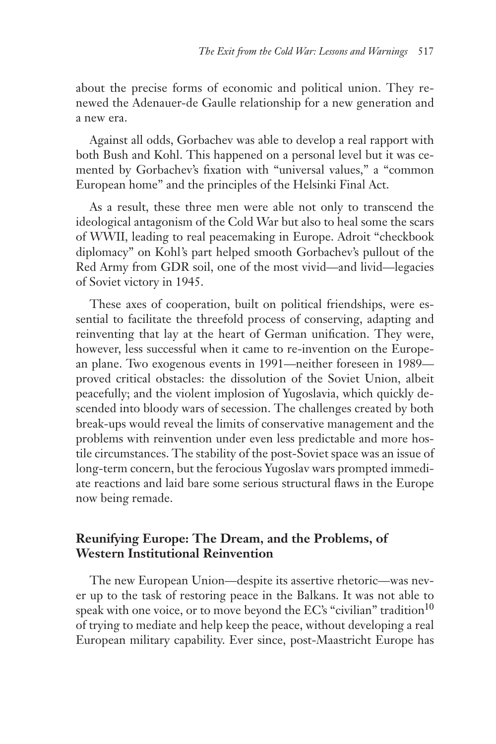about the precise forms of economic and political union. They renewed the Adenauer-de Gaulle relationship for a new generation and a new era.

Against all odds, Gorbachev was able to develop a real rapport with both Bush and Kohl. This happened on a personal level but it was cemented by Gorbachev's fixation with "universal values," a "common European home" and the principles of the Helsinki Final Act.

As a result, these three men were able not only to transcend the ideological antagonism of the Cold War but also to heal some the scars of WWII, leading to real peacemaking in Europe. Adroit "checkbook diplomacy" on Kohl's part helped smooth Gorbachev's pullout of the Red Army from GDR soil, one of the most vivid—and livid—legacies of Soviet victory in 1945.

These axes of cooperation, built on political friendships, were essential to facilitate the threefold process of conserving, adapting and reinventing that lay at the heart of German unification. They were, however, less successful when it came to re-invention on the European plane. Two exogenous events in 1991—neither foreseen in 1989 proved critical obstacles: the dissolution of the Soviet Union, albeit peacefully; and the violent implosion of Yugoslavia, which quickly descended into bloody wars of secession. The challenges created by both break-ups would reveal the limits of conservative management and the problems with reinvention under even less predictable and more hostile circumstances. The stability of the post-Soviet space was an issue of long-term concern, but the ferocious Yugoslav wars prompted immediate reactions and laid bare some serious structural flaws in the Europe now being remade.

# **Reunifying Europe: The Dream, and the Problems, of Western Institutional Reinvention**

The new European Union—despite its assertive rhetoric—was never up to the task of restoring peace in the Balkans. It was not able to speak with one voice, or to move beyond the EC's "civilian" tradition<sup>10</sup> of trying to mediate and help keep the peace, without developing a real European military capability. Ever since, post-Maastricht Europe has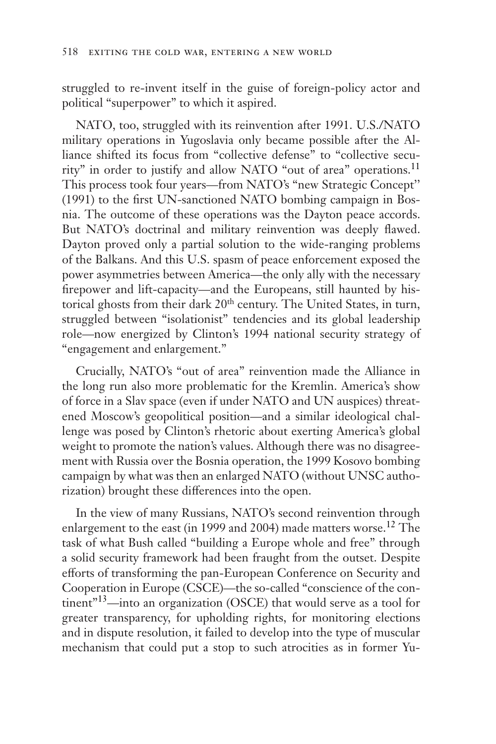struggled to re-invent itself in the guise of foreign-policy actor and political "superpower" to which it aspired.

NATO, too, struggled with its reinvention after 1991. U.S./NATO military operations in Yugoslavia only became possible after the Alliance shifted its focus from "collective defense" to "collective security" in order to justify and allow NATO "out of area" operations.<sup>11</sup> This process took four years—from NATO's "new Strategic Concept" (1991) to the first UN-sanctioned NATO bombing campaign in Bosnia. The outcome of these operations was the Dayton peace accords. But NATO's doctrinal and military reinvention was deeply flawed. Dayton proved only a partial solution to the wide-ranging problems of the Balkans. And this U.S. spasm of peace enforcement exposed the power asymmetries between America—the only ally with the necessary firepower and lift-capacity—and the Europeans, still haunted by historical ghosts from their dark 20<sup>th</sup> century. The United States, in turn, struggled between "isolationist" tendencies and its global leadership role—now energized by Clinton's 1994 national security strategy of "engagement and enlargement."

Crucially, NATO's "out of area" reinvention made the Alliance in the long run also more problematic for the Kremlin. America's show of force in a Slav space (even if under NATO and UN auspices) threatened Moscow's geopolitical position—and a similar ideological challenge was posed by Clinton's rhetoric about exerting America's global weight to promote the nation's values. Although there was no disagreement with Russia over the Bosnia operation, the 1999 Kosovo bombing campaign by what was then an enlarged NATO (without UNSC authorization) brought these differences into the open.

In the view of many Russians, NATO's second reinvention through enlargement to the east (in 1999 and 2004) made matters worse.<sup>12</sup> The task of what Bush called "building a Europe whole and free" through a solid security framework had been fraught from the outset. Despite efforts of transforming the pan-European Conference on Security and Cooperation in Europe (CSCE)—the so-called "conscience of the continent"<sup>13</sup>—into an organization (OSCE) that would serve as a tool for greater transparency, for upholding rights, for monitoring elections and in dispute resolution, it failed to develop into the type of muscular mechanism that could put a stop to such atrocities as in former Yu-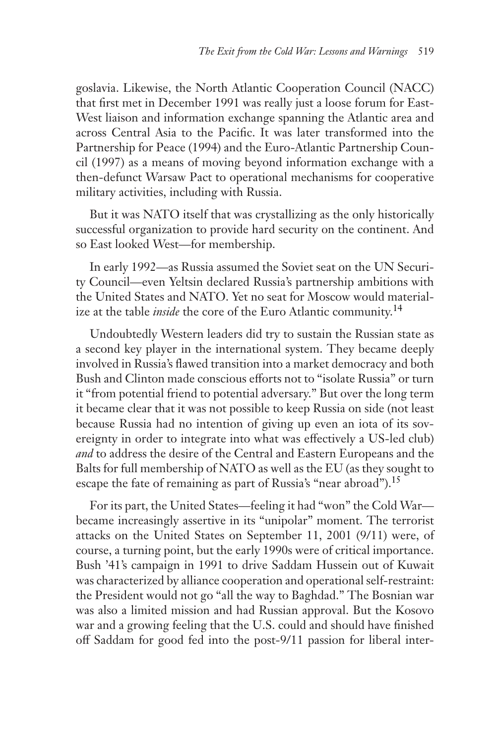goslavia. Likewise, the North Atlantic Cooperation Council (NACC) that first met in December 1991 was really just a loose forum for East-West liaison and information exchange spanning the Atlantic area and across Central Asia to the Pacific. It was later transformed into the Partnership for Peace (1994) and the Euro-Atlantic Partnership Council (1997) as a means of moving beyond information exchange with a then-defunct Warsaw Pact to operational mechanisms for cooperative military activities, including with Russia.

But it was NATO itself that was crystallizing as the only historically successful organization to provide hard security on the continent. And so East looked West—for membership.

In early 1992—as Russia assumed the Soviet seat on the UN Security Council—even Yeltsin declared Russia's partnership ambitions with the United States and NATO. Yet no seat for Moscow would materialize at the table *inside* the core of the Euro Atlantic community.14

Undoubtedly Western leaders did try to sustain the Russian state as a second key player in the international system. They became deeply involved in Russia's flawed transition into a market democracy and both Bush and Clinton made conscious efforts not to "isolate Russia" or turn it "from potential friend to potential adversary." But over the long term it became clear that it was not possible to keep Russia on side (not least because Russia had no intention of giving up even an iota of its sovereignty in order to integrate into what was effectively a US-led club) *and* to address the desire of the Central and Eastern Europeans and the Balts for full membership of NATO as well as the EU (as they sought to escape the fate of remaining as part of Russia's "near abroad").<sup>15</sup>

For its part, the United States—feeling it had "won" the Cold War became increasingly assertive in its "unipolar" moment. The terrorist attacks on the United States on September 11, 2001 (9/11) were, of course, a turning point, but the early 1990s were of critical importance. Bush '41's campaign in 1991 to drive Saddam Hussein out of Kuwait was characterized by alliance cooperation and operational self-restraint: the President would not go "all the way to Baghdad." The Bosnian war was also a limited mission and had Russian approval. But the Kosovo war and a growing feeling that the U.S. could and should have finished off Saddam for good fed into the post-9/11 passion for liberal inter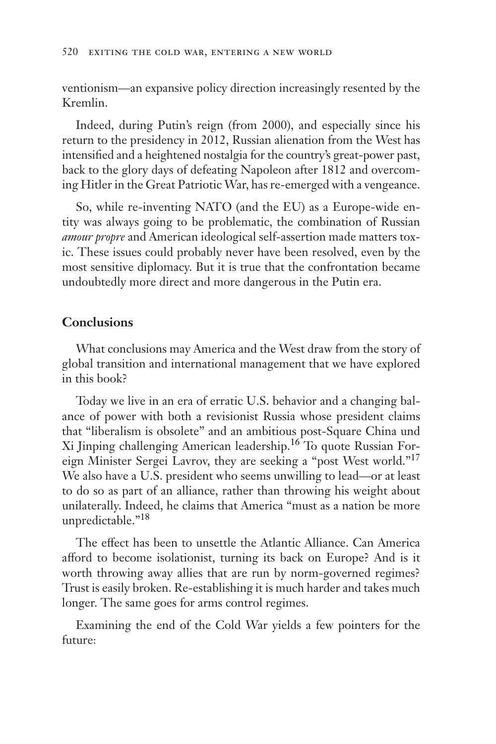ventionism—an expansive policy direction increasingly resented by the Kremlin.

Indeed, during Putin's reign (from 2000), and especially since his return to the presidency in 2012, Russian alienation from the West has intensified and a heightened nostalgia for the country's great-power past, back to the glory days of defeating Napoleon after 1812 and overcoming Hitler in the Great Patriotic War, has re-emerged with a vengeance.

So, while re-inventing NATO (and the EU) as a Europe-wide entity was always going to be problematic, the combination of Russian *amour propre* and American ideological self-assertion made matters toxic. These issues could probably never have been resolved, even by the most sensitive diplomacy. But it is true that the confrontation became undoubtedly more direct and more dangerous in the Putin era.

## **Conclusions**

What conclusions may America and the West draw from the story of global transition and international management that we have explored in this book?

Today we live in an era of erratic U.S. behavior and a changing balance of power with both a revisionist Russia whose president claims that "liberalism is obsolete" and an ambitious post-Square China und Xi Jinping challenging American leadership.16 To quote Russian Foreign Minister Sergei Lavrov, they are seeking a "post West world."17 We also have a U.S. president who seems unwilling to lead—or at least to do so as part of an alliance, rather than throwing his weight about unilaterally. Indeed, he claims that America "must as a nation be more unpredictable."18

The effect has been to unsettle the Atlantic Alliance. Can America afford to become isolationist, turning its back on Europe? And is it worth throwing away allies that are run by norm-governed regimes? Trust is easily broken. Re-establishing it is much harder and takes much longer. The same goes for arms control regimes.

Examining the end of the Cold War yields a few pointers for the future: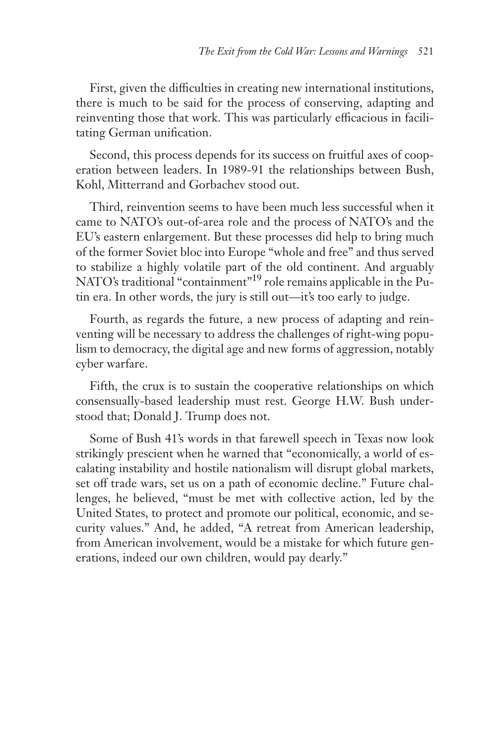First, given the difficulties in creating new international institutions, there is much to be said for the process of conserving, adapting and reinventing those that work. This was particularly efficacious in facilitating German unification.

Second, this process depends for its success on fruitful axes of cooperation between leaders. In 1989-91 the relationships between Bush, Kohl, Mitterrand and Gorbachev stood out.

Third, reinvention seems to have been much less successful when it came to NATO's out-of-area role and the process of NATO's and the EU's eastern enlargement. But these processes did help to bring much of the former Soviet bloc into Europe "whole and free" and thus served to stabilize a highly volatile part of the old continent. And arguably NATO's traditional "containment"19 role remains applicable in the Putin era. In other words, the jury is still out—it's too early to judge.

Fourth, as regards the future, a new process of adapting and reinventing will be necessary to address the challenges of right-wing populism to democracy, the digital age and new forms of aggression, notably cyber warfare.

Fifth, the crux is to sustain the cooperative relationships on which consensually-based leadership must rest. George H.W. Bush understood that; Donald J. Trump does not.

Some of Bush 41's words in that farewell speech in Texas now look strikingly prescient when he warned that "economically, a world of escalating instability and hostile nationalism will disrupt global markets, set off trade wars, set us on a path of economic decline." Future challenges, he believed, "must be met with collective action, led by the United States, to protect and promote our political, economic, and security values." And, he added, "A retreat from American leadership, from American involvement, would be a mistake for which future generations, indeed our own children, would pay dearly."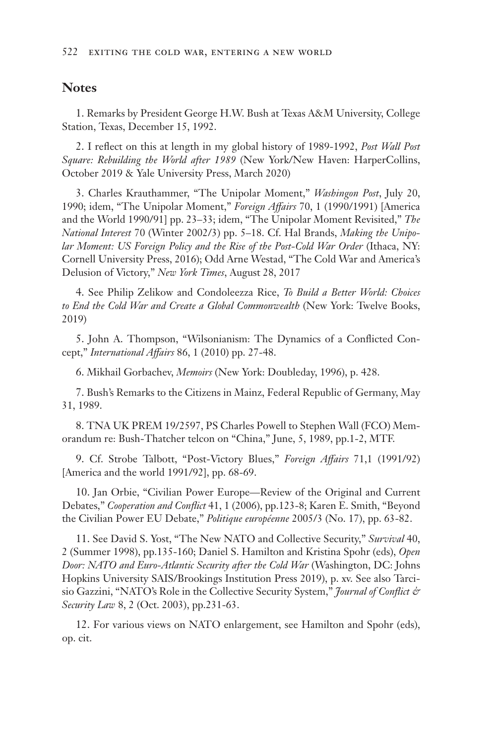#### **Notes**

1. Remarks by President George H.W. Bush at Texas A&M University, College Station, Texas, December 15, 1992.

2. I reflect on this at length in my global history of 1989-1992, *Post Wall Post Square: Rebuilding the World after 1989* (New York/New Haven: HarperCollins, October 2019 & Yale University Press, March 2020)

3. Charles Krauthammer, "The Unipolar Moment," *Washingon Post*, July 20, 1990; idem, "The Unipolar Moment," *Foreign Affairs* 70, 1 (1990/1991) [America and the World 1990/91] pp. 23–33; idem, "The Unipolar Moment Revisited," *The National Interest* 70 (Winter 2002/3) pp. 5–18. Cf. Hal Brands, *Making the Unipolar Moment: US Foreign Policy and the Rise of the Post-Cold War Order* (Ithaca, NY: Cornell University Press, 2016); Odd Arne Westad, "The Cold War and America's Delusion of Victory," *New York Times*, August 28, 2017

4. See Philip Zelikow and Condoleezza Rice, *To Build a Better World: Choices to End the Cold War and Create a Global Commonwealth* (New York: Twelve Books, 2019)

5. John A. Thompson, "Wilsonianism: The Dynamics of a Conflicted Concept," *International Affairs* 86, 1 (2010) pp. 27-48.

6. Mikhail Gorbachev, *Memoirs* (New York: Doubleday, 1996), p. 428.

7. Bush's Remarks to the Citizens in Mainz, Federal Republic of Germany, May 31, 1989.

8. TNA UK PREM 19/2597, PS Charles Powell to Stephen Wall (FCO) Memorandum re: Bush-Thatcher telcon on "China," June, 5, 1989, pp.1-2, MTF.

9. Cf. Strobe Talbott, "Post-Victory Blues," *Foreign Affairs* 71,1 (1991/92) [America and the world 1991/92], pp. 68-69.

10. Jan Orbie, "Civilian Power Europe—Review of the Original and Current Debates," *Cooperation and Conflict* 41, 1 (2006), pp.123-8; Karen E. Smith, "Beyond the Civilian Power EU Debate," *Politique européenne* 2005/3 (No. 17), pp. 63-82.

11. See David S. Yost, "The New NATO and Collective Security," *Survival* 40, 2 (Summer 1998), pp.135-160; Daniel S. Hamilton and Kristina Spohr (eds), *Open Door: NATO and Euro-Atlantic Security after the Cold War* (Washington, DC: Johns Hopkins University SAIS/Brookings Institution Press 2019), p. xv. See also Tarcisio Gazzini, "NATO's Role in the Collective Security System," *Journal of Conflict & Security Law* 8, 2 (Oct. 2003), pp.231-63.

12. For various views on NATO enlargement, see Hamilton and Spohr (eds), op. cit.